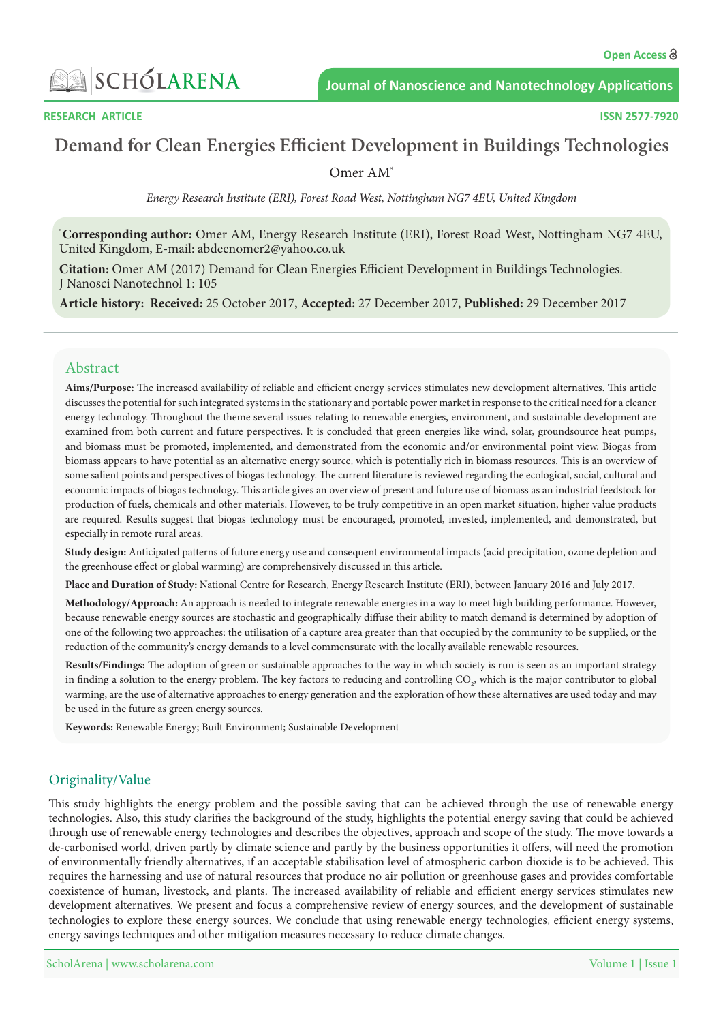

**RESEARCH ARTICLE** 

**2577-7920 ISSN** 

# **Demand for Clean Energies Efficient Development in Buildings Technologies**

Omer AM<sup>\*</sup>

*Energy Research Institute (ERI), Forest Road West, Nottingham NG7 4EU, United Kingdom* 

<sup>\*</sup>Corresponding author: Omer AM, Energy Research Institute (ERI), Forest Road West, Nottingham NG7 4EU, United Kingdom, E-mail: abdeenomer2@yahoo.co.uk

**Citation:** Omer AM (2017) Demand for Clean Energies Efficient Development in Buildings Technologies. I Nanosci Nanotechnol 1: 105

Article history: Received: 25 October 2017, Accepted: 27 December 2017, Published: 29 December 2017

### Abstract

Aims/Purpose: The increased availability of reliable and efficient energy services stimulates new development alternatives. This article discusses the potential for such integrated systems in the stationary and portable power market in response to the critical need for a cleaner energy technology. Throughout the theme several issues relating to renewable energies, environment, and sustainable development are examined from both current and future perspectives. It is concluded that green energies like wind, solar, groundsource heat pumps, and biomass must be promoted, implemented, and demonstrated from the economic and/or environmental point view. Biogas from biomass appears to have potential as an alternative energy source, which is potentially rich in biomass resources. This is an overview of some salient points and perspectives of biogas technology. The current literature is reviewed regarding the ecological, social, cultural and economic impacts of biogas technology. This article gives an overview of present and future use of biomass as an industrial feedstock for production of fuels, chemicals and other materials. However, to be truly competitive in an open market situation, higher value products are required. Results suggest that biogas technology must be encouraged, promoted, invested, implemented, and demonstrated, but especially in remote rural areas.

**Study design:** Anticipated patterns of future energy use and consequent environmental impacts (acid precipitation, ozone depletion and the greenhouse effect or global warming) are comprehensively discussed in this article.

Place and Duration of Study: National Centre for Research, Energy Research Institute (ERI), between January 2016 and July 2017.

Methodology/Approach: An approach is needed to integrate renewable energies in a way to meet high building performance. However, because renewable energy sources are stochastic and geographically diffuse their ability to match demand is determined by adoption of one of the following two approaches: the utilisation of a capture area greater than that occupied by the community to be supplied, or the reduction of the community's energy demands to a level commensurate with the locally available renewable resources.

Results/Findings: The adoption of green or sustainable approaches to the way in which society is run is seen as an important strategy in finding a solution to the energy problem. The key factors to reducing and controlling  $CO_{2}$ , which is the major contributor to global warming, are the use of alternative approaches to energy generation and the exploration of how these alternatives are used today and may be used in the future as green energy sources.

Keywords: Renewable Energy; Built Environment; Sustainable Development

### Originality/Value

This study highlights the energy problem and the possible saving that can be achieved through the use of renewable energy technologies. Also, this study clarifies the background of the study, highlights the potential energy saving that could be achieved through use of renewable energy technologies and describes the objectives, approach and scope of the study. The move towards a de-carbonised world, driven partly by climate science and partly by the business opportunities it offers, will need the promotion of environmentally friendly alternatives, if an acceptable stabilisation level of atmospheric carbon dioxide is to be achieved. This requires the harnessing and use of natural resources that produce no air pollution or greenhouse gases and provides comfortable coexistence of human, livestock, and plants. The increased availability of reliable and efficient energy services stimulates new development alternatives. We present and focus a comprehensive review of energy sources, and the development of sustainable technologies to explore these energy sources. We conclude that using renewable energy technologies, efficient energy systems, energy savings techniques and other mitigation measures necessary to reduce climate changes.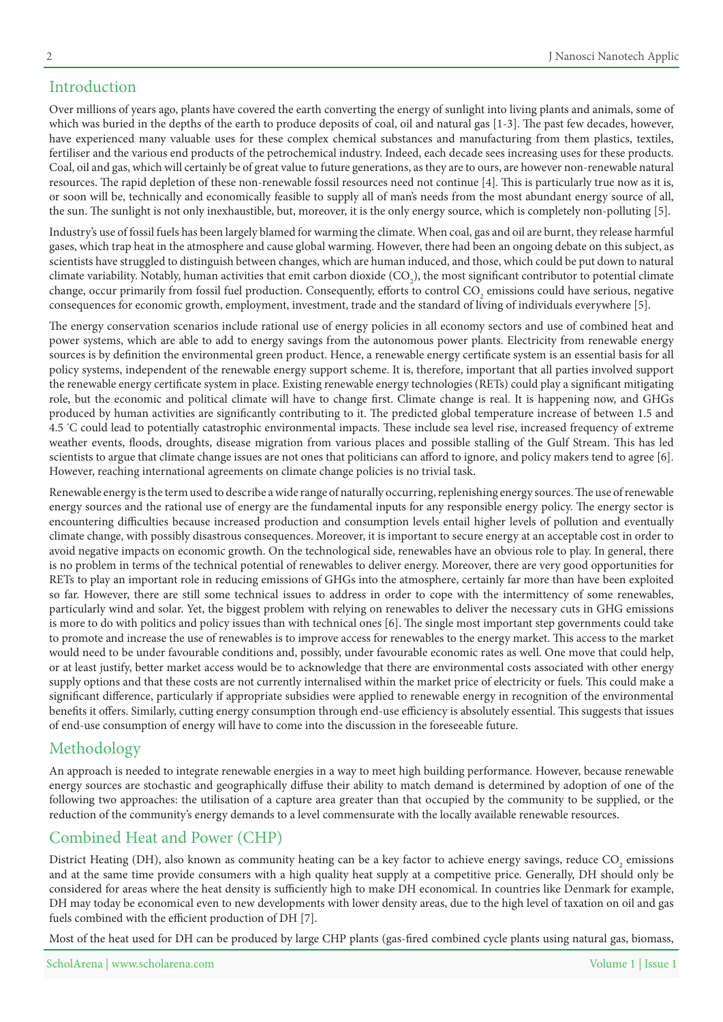# Introduction

Over millions of years ago, plants have covered the earth converting the energy of sunlight into living plants and animals, some of which was buried in the depths of the earth to produce deposits of coal, oil and natural gas [1-3]. The past few decades, however, have experienced many valuable uses for these complex chemical substances and manufacturing from them plastics, textiles, fertiliser and the various end products of the petrochemical industry. Indeed, each decade sees increasing uses for these products. Coal, oil and gas, which will certainly be of great value to future generations, as they are to ours, are however non-renewable natural resources. The rapid depletion of these non-renewable fossil resources need not continue [4]. This is particularly true now as it is, or soon will be, technically and economically feasible to supply all of man's needs from the most abundant energy source of all, the sun. The sunlight is not only inexhaustible, but, moreover, it is the only energy source, which is completely non-polluting [5].

Industry's use of fossil fuels has been largely blamed for warming the climate. When coal, gas and oil are burnt, they release harmful gases, which trap heat in the atmosphere and cause global warming. However, there had been an ongoing debate on this subject, as scientists have struggled to distinguish between changes, which are human induced, and those, which could be put down to natural climate variability. Notably, human activities that emit carbon dioxide  $(CO_2)$ , the most significant contributor to potential climate change, occur primarily from fossil fuel production. Consequently, efforts to control CO<sub>2</sub> emissions could have serious, negative consequences for economic growth, employment, investment, trade and the standard of living of individuals everywhere [5].

The energy conservation scenarios include rational use of energy policies in all economy sectors and use of combined heat and power systems, which are able to add to energy savings from the autonomous power plants. Electricity from renewable energy sources is by definition the environmental green product. Hence, a renewable energy certificate system is an essential basis for all policy systems, independent of the renewable energy support scheme. It is, therefore, important that all parties involved support the renewable energy certificate system in place. Existing renewable energy technologies (RETs) could play a significant mitigating role, but the economic and political climate will have to change first. Climate change is real. It is happening now, and GHGs produced by human activities are significantly contributing to it. The predicted global temperature increase of between 1.5 and 4.5 °C could lead to potentially catastrophic environmental impacts. These include sea level rise, increased frequency of extreme weather events, floods, droughts, disease migration from various places and possible stalling of the Gulf Stream. This has led scientists to argue that climate change issues are not ones that politicians can afford to ignore, and policy makers tend to agree [6]. However, reaching international agreements on climate change policies is no trivial task.

Renewable energy is the term used to describe a wide range of naturally occurring, replenishing energy sources. The use of renewable energy sources and the rational use of energy are the fundamental inputs for any responsible energy policy. The energy sector is encountering difficulties because increased production and consumption levels entail higher levels of pollution and eventually climate change, with possibly disastrous consequences. Moreover, it is important to secure energy at an acceptable cost in order to avoid negative impacts on economic growth. On the technological side, renewables have an obvious role to play. In general, there is no problem in terms of the technical potential of renewables to deliver energy. Moreover, there are very good opportunities for RETs to play an important role in reducing emissions of GHGs into the atmosphere, certainly far more than have been exploited so far. However, there are still some technical issues to address in order to cope with the intermittency of some renewables, particularly wind and solar. Yet, the biggest problem with relying on renewables to deliver the necessary cuts in GHG emissions is more to do with politics and policy issues than with technical ones [6]. The single most important step governments could take to promote and increase the use of renewables is to improve access for renewables to the energy market. This access to the market would need to be under favourable conditions and, possibly, under favourable economic rates as well. One move that could help, or at least justify, better market access would be to acknowledge that there are environmental costs associated with other energy supply options and that these costs are not currently internalised within the market price of electricity or fuels. This could make a significant difference, particularly if appropriate subsidies were applied to renewable energy in recognition of the environmental benefits it offers. Similarly, cutting energy consumption through end-use efficiency is absolutely essential. This suggests that issues of end-use consumption of energy will have to come into the discussion in the foreseeable future.

# Methodology

An approach is needed to integrate renewable energies in a way to meet high building performance. However, because renewable energy sources are stochastic and geographically diffuse their ability to match demand is determined by adoption of one of the following two approaches: the utilisation of a capture area greater than that occupied by the community to be supplied, or the reduction of the community's energy demands to a level commensurate with the locally available renewable resources.

# Combined Heat and Power (CHP)

District Heating (DH), also known as community heating can be a key factor to achieve energy savings, reduce  $\mathrm{CO}_2$  emissions and at the same time provide consumers with a high quality heat supply at a competitive price. Generally, DH should only be considered for areas where the heat density is sufficiently high to make DH economical. In countries like Denmark for example, DH may today be economical even to new developments with lower density areas, due to the high level of taxation on oil and gas fuels combined with the efficient production of DH [7].

Most of the heat used for DH can be produced by large CHP plants (gas-fired combined cycle plants using natural gas, biomass,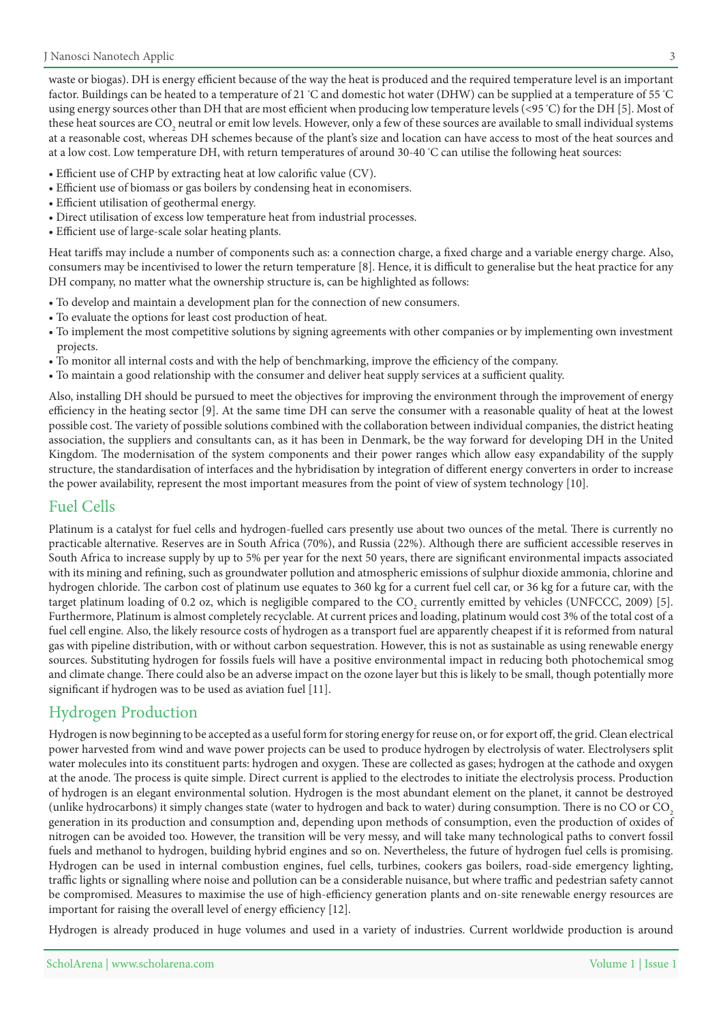waste or biogas). DH is energy efficient because of the way the heat is produced and the required temperature level is an important factor. Buildings can be heated to a temperature of 21 °C and domestic hot water (DHW) can be supplied at a temperature of 55 °C using energy sources other than DH that are most efficient when producing low temperature levels (<95 °C) for the DH [5]. Most of these heat sources are CO<sub>2</sub> neutral or emit low levels. However, only a few of these sources are available to small individual systems at a reasonable cost, whereas DH schemes because of the plant's size and location can have access to most of the heat sources and at a low cost. Low temperature DH, with return temperatures of around 30-40 °C can utilise the following heat sources:

- Efficient use of CHP by extracting heat at low calorific value (CV).
- Efficient use of biomass or gas boilers by condensing heat in economisers.
- Efficient utilisation of geothermal energy.
- Direct utilisation of excess low temperature heat from industrial processes.
- Efficient use of large-scale solar heating plants.

Heat tariffs may include a number of components such as: a connection charge, a fixed charge and a variable energy charge. Also, consumers may be incentivised to lower the return temperature [8]. Hence, it is difficult to generalise but the heat practice for any DH company, no matter what the ownership structure is, can be highlighted as follows:

- To develop and maintain a development plan for the connection of new consumers.
- To evaluate the options for least cost production of heat.
- To implement the most competitive solutions by signing agreements with other companies or by implementing own investment projects.
- To monitor all internal costs and with the help of benchmarking, improve the efficiency of the company.
- To maintain a good relationship with the consumer and deliver heat supply services at a sufficient quality.

Also, installing DH should be pursued to meet the objectives for improving the environment through the improvement of energy efficiency in the heating sector [9]. At the same time DH can serve the consumer with a reasonable quality of heat at the lowest possible cost. The variety of possible solutions combined with the collaboration between individual companies, the district heating association, the suppliers and consultants can, as it has been in Denmark, be the way forward for developing DH in the United Kingdom. The modernisation of the system components and their power ranges which allow easy expandability of the supply structure, the standardisation of interfaces and the hybridisation by integration of different energy converters in order to increase the power availability, represent the most important measures from the point of view of system technology [10].

#### **Fuel Cells**

Platinum is a catalyst for fuel cells and hydrogen-fuelled cars presently use about two ounces of the metal. There is currently no practicable alternative. Reserves are in South Africa (70%), and Russia (22%). Although there are sufficient accessible reserves in South Africa to increase supply by up to 5% per year for the next 50 years, there are significant environmental impacts associated with its mining and refining, such as groundwater pollution and atmospheric emissions of sulphur dioxide ammonia, chlorine and hydrogen chloride. The carbon cost of platinum use equates to 360 kg for a current fuel cell car, or 36 kg for a future car, with the target platinum loading of 0.2 oz, which is negligible compared to the  $\rm{CO}_{2}$  currently emitted by vehicles (UNFCCC, 2009) [5]. Furthermore, Platinum is almost completely recyclable. At current prices and loading, platinum would cost 3% of the total cost of a fuel cell engine. Also, the likely resource costs of hydrogen as a transport fuel are apparently cheapest if it is reformed from natural gas with pipeline distribution, with or without carbon sequestration. However, this is not as sustainable as using renewable energy sources. Substituting hydrogen for fossils fuels will have a positive environmental impact in reducing both photochemical smog and climate change. There could also be an adverse impact on the ozone layer but this is likely to be small, though potentially more significant if hydrogen was to be used as aviation fuel [11].

## **Hydrogen Production**

Hydrogen is now beginning to be accepted as a useful form for storing energy for reuse on, or for export off, the grid. Clean electrical power harvested from wind and wave power projects can be used to produce hydrogen by electrolysis of water. Electrolysers split water molecules into its constituent parts: hydrogen and oxygen. These are collected as gases; hydrogen at the cathode and oxygen at the anode. The process is quite simple. Direct current is applied to the electrodes to initiate the electrolysis process. Production of hydrogen is an elegant environmental solution. Hydrogen is the most abundant element on the planet, it cannot be destroyed (unlike hydrocarbons) it simply changes state (water to hydrogen and back to water) during consumption. There is no CO or  $CO<sub>2</sub>$ generation in its production and consumption and, depending upon methods of consumption, even the production of oxides of nitrogen can be avoided too. However, the transition will be very messy, and will take many technological paths to convert fossil fuels and methanol to hydrogen, building hybrid engines and so on. Nevertheless, the future of hydrogen fuel cells is promising. Hydrogen can be used in internal combustion engines, fuel cells, turbines, cookers gas boilers, road-side emergency lighting, traffic lights or signalling where noise and pollution can be a considerable nuisance, but where traffic and pedestrian safety cannot be compromised. Measures to maximise the use of high-efficiency generation plants and on-site renewable energy resources are important for raising the overall level of energy efficiency [12].

Hydrogen is already produced in huge volumes and used in a variety of industries. Current worldwide production is around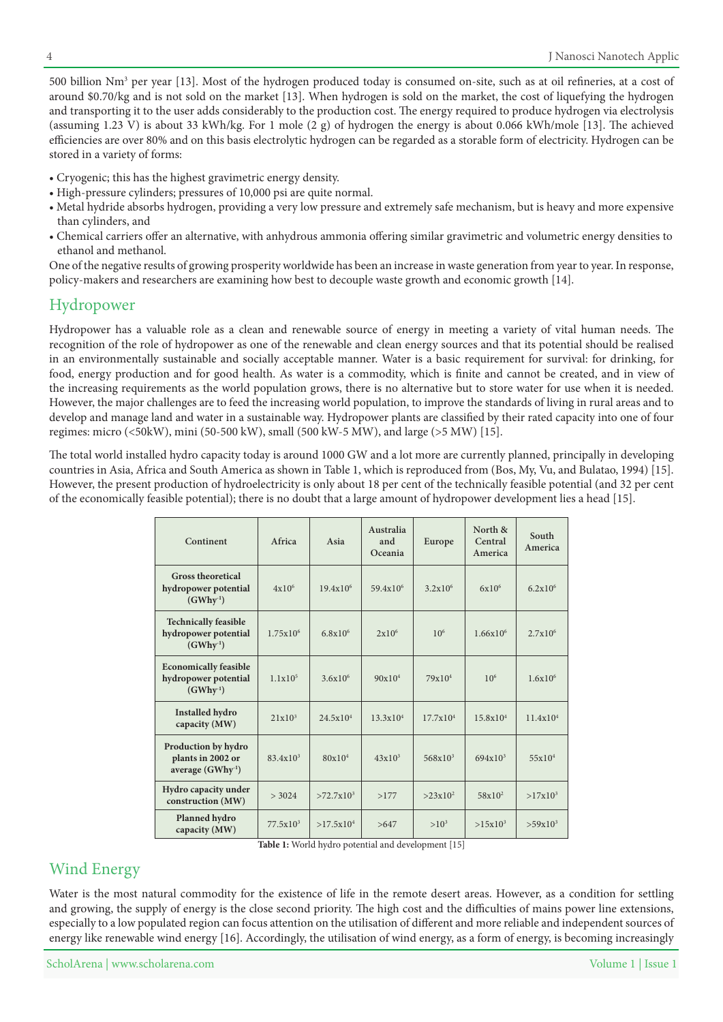500 billion Nm<sup>3</sup> per year [13]. Most of the hydrogen produced today is consumed on-site, such as at oil refineries, at a cost of around \$0.70/kg and is not sold on the market [13]. When hydrogen is sold on the market, the cost of liquefying the hydrogen and transporting it to the user adds considerably to the production cost. The energy required to produce hydrogen via electrolysis (assuming 1.23 V) is about 33 kWh/kg. For 1 mole (2 g) of hydrogen the energy is about 0.066 kWh/mole [13]. The achieved efficiencies are over 80% and on this basis electrolytic hydrogen can be regarded as a storable form of electricity. Hydrogen can be stored in a variety of forms:

- Cryogenic; this has the highest gravimetric energy density.
- High-pressure cylinders; pressures of 10,000 psi are quite normal.
- Metal hydride absorbs hydrogen, providing a very low pressure and extremely safe mechanism, but is heavy and more expensive than cylinders, and
- Chemical carriers offer an alternative, with anhydrous ammonia offering similar gravimetric and volumetric energy densities to ethanol and methanol.

One of the negative results of growing prosperity worldwide has been an increase in waste generation from year to year. In response, policy-makers and researchers are examining how best to decouple waste growth and economic growth [14].

### Hydropower

Hydropower has a valuable role as a clean and renewable source of energy in meeting a variety of vital human needs. The recognition of the role of hydropower as one of the renewable and clean energy sources and that its potential should be realised in an environmentally sustainable and socially acceptable manner. Water is a basic requirement for survival: for drinking, for food, energy production and for good health. As water is a commodity, which is finite and cannot be created, and in view of the increasing requirements as the world population grows, there is no alternative but to store water for use when it is needed. However, the major challenges are to feed the increasing world population, to improve the standards of living in rural areas and to develop and manage land and water in a sustainable way. Hydropower plants are classified by their rated capacity into one of four regimes: micro (<50kW), mini (50-500 kW), small (500 kW-5 MW), and large (>5 MW) [15].

The total world installed hydro capacity today is around 1000 GW and a lot more are currently planned, principally in developing countries in Asia, Africa and South America as shown in Table 1, which is reproduced from (Bos, My, Vu, and Bulatao, 1994) [15]. However, the present production of hydroelectricity is only about 18 per cent of the technically feasible potential (and 32 per cent of the economically feasible potential); there is no doubt that a large amount of hydropower development lies a head [15].

| Continent                                                          | Africa             | Asia                 | Australia<br>and<br>Oceania | Europe             | North &<br>Central<br>America | South<br>America     |
|--------------------------------------------------------------------|--------------------|----------------------|-----------------------------|--------------------|-------------------------------|----------------------|
| <b>Gross theoretical</b><br>hydropower potential<br>$(GWhy-1)$     | 4x10 <sup>6</sup>  | $19.4x10^6$          | $59.4x10^{6}$               | $3.2x10^{6}$       | $6x10^6$                      | 6.2x10 <sup>6</sup>  |
| <b>Technically feasible</b><br>hydropower potential<br>$(GWhy-1)$  | $1.75x10^{6}$      | $6.8x10^{6}$         | $2x10^6$                    | 10 <sup>6</sup>    | $1.66x10^{6}$                 | $2.7x10^{6}$         |
| <b>Economically feasible</b><br>hydropower potential<br>$(GWhy-1)$ | $1.1x10^5$         | $3.6x10^{6}$         | $90x10^4$                   | $79x10^4$          | 10 <sup>6</sup>               | $1.6x10^{6}$         |
| <b>Installed hydro</b><br>capacity (MW)                            | $21x10^3$          | 24.5x10 <sup>4</sup> | 13.3x10 <sup>4</sup>        | $17.7 \times 10^4$ | 15.8x10 <sup>4</sup>          | 11.4x10 <sup>4</sup> |
| Production by hydro<br>plants in 2002 or<br>average $(GWhy-1)$     | $83.4x10^3$        | $80x10^4$            | $43x10^3$                   | $568x10^3$         | $694x10^3$                    | $55x10^4$            |
| Hydro capacity under<br>construction (MW)                          | > 3024             | $>72.7 \times 10^3$  | >177                        | $>23x10^2$         | $58x10^2$                     | $>17x10^3$           |
| Planned hydro<br>capacity (MW)                                     | $77.5 \times 10^3$ | $>17.5x10^4$         | >647                        | $>10^3$            | $>15x10^3$                    | $>59x10^3$           |

Table 1: World hydro potential and development [15]

# Wind Energy

Water is the most natural commodity for the existence of life in the remote desert areas. However, as a condition for settling and growing, the supply of energy is the close second priority. The high cost and the difficulties of mains power line extensions, especially to a low populated region can focus attention on the utilisation of different and more reliable and independent sources of energy like renewable wind energy [16]. Accordingly, the utilisation of wind energy, as a form of energy, is becoming increasingly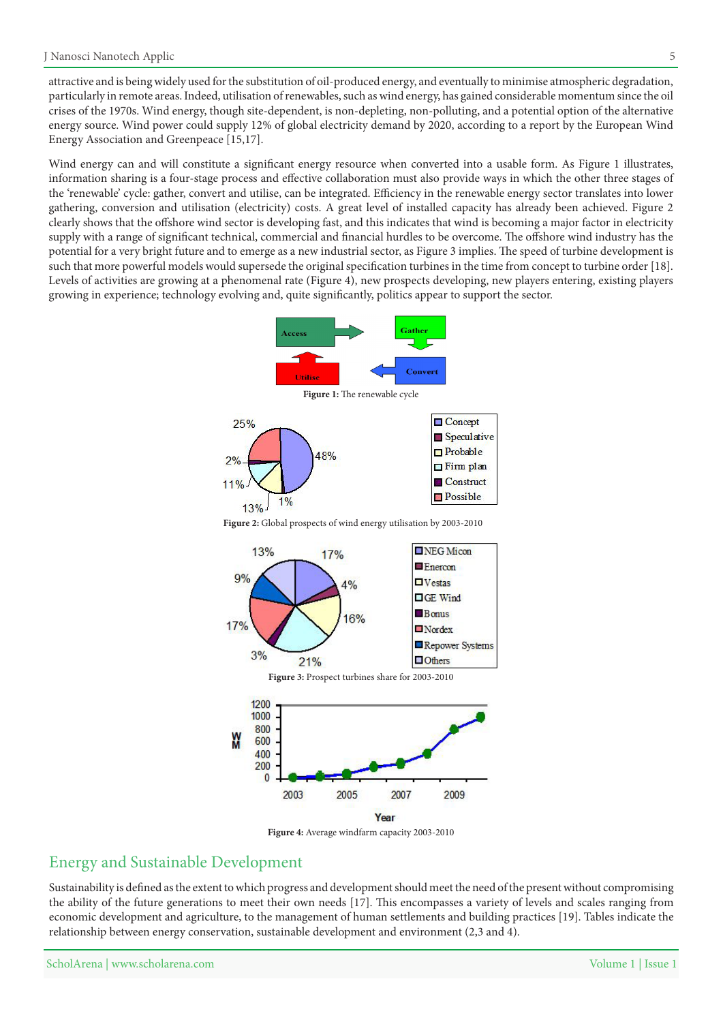attractive and is being widely used for the substitution of oil-produced energy, and eventually to minimise atmospheric degradation, particularly in remote areas. Indeed, utilisation of renewables, such as wind energy, has gained considerable momentum since the oil crises of the 1970s. Wind energy, though site-dependent, is non-depleting, non-polluting, and a potential option of the alternative energy source. Wind power could supply 12% of global electricity demand by 2020, according to a report by the European Wind Energy Association and Greenpeace [15,17].

Wind energy can and will constitute a significant energy resource when converted into a usable form. As Figure 1 illustrates, information sharing is a four-stage process and effective collaboration must also provide ways in which the other three stages of the 'renewable' cycle: gather, convert and utilise, can be integrated. Efficiency in the renewable energy sector translates into lower gathering, conversion and utilisation (electricity) costs. A great level of installed capacity has already been achieved. Figure 2 clearly shows that the offshore wind sector is developing fast, and this indicates that wind is becoming a major factor in electricity supply with a range of significant technical, commercial and financial hurdles to be overcome. The offshore wind industry has the potential for a very bright future and to emerge as a new industrial sector, as Figure 3 implies. The speed of turbine development is such that more powerful models would supersede the original specification turbines in the time from concept to turbine order [18]. Levels of activities are growing at a phenomenal rate (Figure 4), new prospects developing, new players entering, existing players growing in experience; technology evolving and, quite significantly, politics appear to support the sector.





Figure 2: Global prospects of wind energy utilisation by 2003-2010



Figure 4: Average windfarm capacity 2003-2010

#### Energy and Sustainable Development

Sustainability is defined as the extent to which progress and development should meet the need of the present without compromising the ability of the future generations to meet their own needs [17]. This encompasses a variety of levels and scales ranging from economic development and agriculture, to the management of human settlements and building practices [19]. Tables indicate the relationship between energy conservation, sustainable development and environment  $(2,3 \text{ and } 4)$ .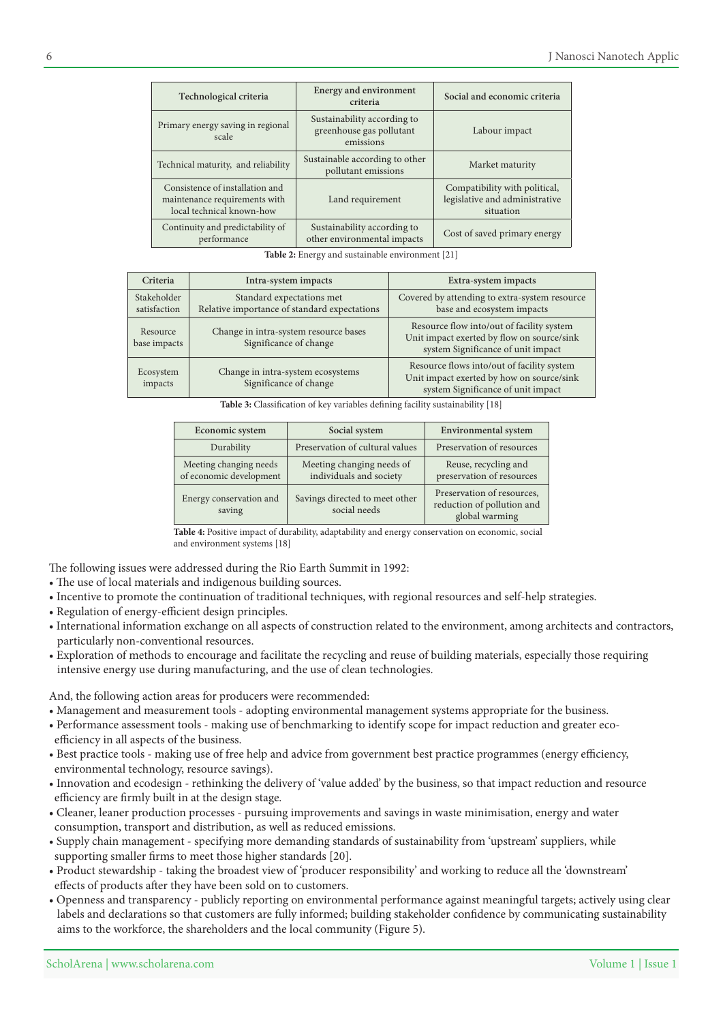| Technological criteria                                                                        | Energy and environment<br>criteria                                   | Social and economic criteria                                                 |  |
|-----------------------------------------------------------------------------------------------|----------------------------------------------------------------------|------------------------------------------------------------------------------|--|
| Primary energy saving in regional<br>scale                                                    | Sustainability according to<br>greenhouse gas pollutant<br>emissions | Labour impact                                                                |  |
| Technical maturity, and reliability                                                           | Sustainable according to other<br>pollutant emissions                | Market maturity                                                              |  |
| Consistence of installation and<br>maintenance requirements with<br>local technical known-how | Land requirement                                                     | Compatibility with political,<br>legislative and administrative<br>situation |  |
| Continuity and predictability of<br>performance                                               | Sustainability according to<br>other environmental impacts           | Cost of saved primary energy                                                 |  |

**Table 2:** Energy and sustainable environment [21]

| Criteria                    | Intra-system impacts                                                      | Extra-system impacts                                                                                                          |
|-----------------------------|---------------------------------------------------------------------------|-------------------------------------------------------------------------------------------------------------------------------|
| Stakeholder<br>satisfaction | Standard expectations met<br>Relative importance of standard expectations | Covered by attending to extra-system resource<br>base and ecosystem impacts                                                   |
| Resource<br>base impacts    | Change in intra-system resource bases<br>Significance of change           | Resource flow into/out of facility system<br>Unit impact exerted by flow on source/sink<br>system Significance of unit impact |
| Ecosystem<br>impacts        | Change in intra-system ecosystems<br>Significance of change               | Resource flows into/out of facility system<br>Unit impact exerted by how on source/sink<br>system Significance of unit impact |

Table 3: Classification of key variables defining facility sustainability [18]

| Economic system                                   | Social system                                        | <b>Environmental</b> system                                                |  |
|---------------------------------------------------|------------------------------------------------------|----------------------------------------------------------------------------|--|
| Durability                                        | Preservation of cultural values                      | Preservation of resources                                                  |  |
| Meeting changing needs<br>of economic development | Meeting changing needs of<br>individuals and society | Reuse, recycling and<br>preservation of resources                          |  |
| Energy conservation and<br>saving                 | Savings directed to meet other<br>social needs       | Preservation of resources,<br>reduction of pollution and<br>global warming |  |

Table 4: Positive impact of durability, adaptability and energy conservation on economic, social and environment systems [18]

The following issues were addressed during the Rio Earth Summit in 1992:

- The use of local materials and indigenous building sources.
- Incentive to promote the continuation of traditional techniques, with regional resources and self-help strategies.
- Regulation of energy-efficient design principles.
- International information exchange on all aspects of construction related to the environment, among architects and contractors, particularly non-conventional resources.
- Exploration of methods to encourage and facilitate the recycling and reuse of building materials, especially those requiring intensive energy use during manufacturing, and the use of clean technologies.

And, the following action areas for producers were recommended:

- Management and measurement tools adopting environmental management systems appropriate for the business.
- Performance assessment tools making use of benchmarking to identify scope for impact reduction and greater ecoefficiency in all aspects of the business.
- Best practice tools making use of free help and advice from government best practice programmes (energy efficiency, environmental technology, resource savings).
- Innovation and ecodesign rethinking the delivery of 'value added' by the business, so that impact reduction and resource efficiency are firmly built in at the design stage.
- Cleaner, leaner production processes pursuing improvements and savings in waste minimisation, energy and water consumption, transport and distribution, as well as reduced emissions.
- Supply chain management specifying more demanding standards of sustainability from 'upstream' suppliers, while supporting smaller firms to meet those higher standards [20].
- Product stewardship taking the broadest view of 'producer responsibility' and working to reduce all the 'downstream' effects of products after they have been sold on to customers.
- Openness and transparency publicly reporting on environmental performance against meaningful targets; actively using clear labels and declarations so that customers are fully informed; building stakeholder confidence by communicating sustainability aims to the workforce, the shareholders and the local community (Figure 5).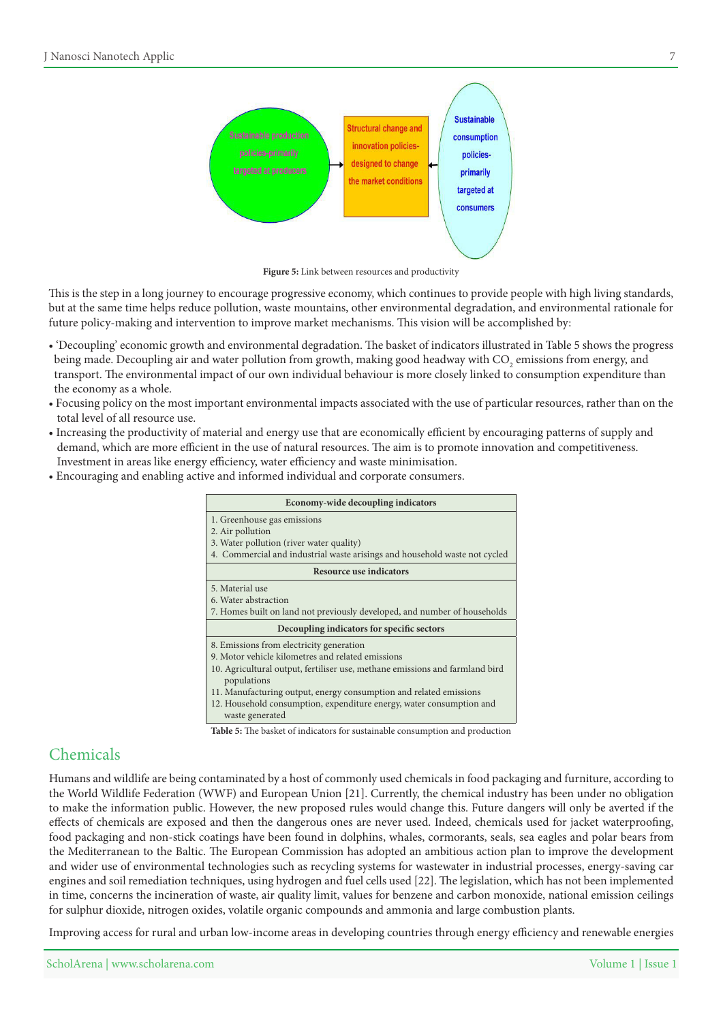

Figure 5: Link between resources and productivity

This is the step in a long journey to encourage progressive economy, which continues to provide people with high living standards, but at the same time helps reduce pollution, waste mountains, other environmental degradation, and environmental rationale for future policy-making and intervention to improve market mechanisms. This vision will be accomplished by:

- 'Decoupling' economic growth and environmental degradation. The basket of indicators illustrated in Table 5 shows the progress being made. Decoupling air and water pollution from growth, making good headway with  $\rm CO_{2}$  emissions from energy, and transport. The environmental impact of our own individual behaviour is more closely linked to consumption expenditure than the economy as a whole.
- Focusing policy on the most important environmental impacts associated with the use of particular resources, rather than on the total level of all resource use.
- Increasing the productivity of material and energy use that are economically efficient by encouraging patterns of supply and demand, which are more efficient in the use of natural resources. The aim is to promote innovation and competitiveness. Investment in areas like energy efficiency, water efficiency and waste minimisation.
- Encouraging and enabling active and informed individual and corporate consumers.

| Economy-wide decoupling indicators                                                          |  |  |  |
|---------------------------------------------------------------------------------------------|--|--|--|
| 1. Greenhouse gas emissions                                                                 |  |  |  |
| 2. Air pollution                                                                            |  |  |  |
| 3. Water pollution (river water quality)                                                    |  |  |  |
| 4. Commercial and industrial waste arisings and household waste not cycled                  |  |  |  |
| Resource use indicators                                                                     |  |  |  |
| 5. Material use                                                                             |  |  |  |
| 6. Water abstraction                                                                        |  |  |  |
| 7. Homes built on land not previously developed, and number of households                   |  |  |  |
| Decoupling indicators for specific sectors                                                  |  |  |  |
| 8. Emissions from electricity generation                                                    |  |  |  |
| 9. Motor vehicle kilometres and related emissions                                           |  |  |  |
| 10. Agricultural output, fertiliser use, methane emissions and farmland bird<br>populations |  |  |  |
| 11. Manufacturing output, energy consumption and related emissions                          |  |  |  |
| 12. Household consumption, expenditure energy, water consumption and                        |  |  |  |
| waste generated                                                                             |  |  |  |

**Table 5:** The basket of indicators for sustainable consumption and production

### Chemicals

Humans and wildlife are being contaminated by a host of commonly used chemicals in food packaging and furniture, according to the World Wildlife Federation (WWF) and European Union [21]. Currently, the chemical industry has been under no obligation to make the information public. However, the new proposed rules would change this. Future dangers will only be averted if the effects of chemicals are exposed and then the dangerous ones are never used. Indeed, chemicals used for jacket waterproofing, food packaging and non-stick coatings have been found in dolphins, whales, cormorants, seals, sea eagles and polar bears from the Mediterranean to the Baltic. The European Commission has adopted an ambitious action plan to improve the development and wider use of environmental technologies such as recycling systems for wastewater in industrial processes, energy-saving car engines and soil remediation techniques, using hydrogen and fuel cells used [22]. The legislation, which has not been implemented in time, concerns the incineration of waste, air quality limit, values for benzene and carbon monoxide, national emission ceilings for sulphur dioxide, nitrogen oxides, volatile organic compounds and ammonia and large combustion plants.

Improving access for rural and urban low-income areas in developing countries through energy efficiency and renewable energies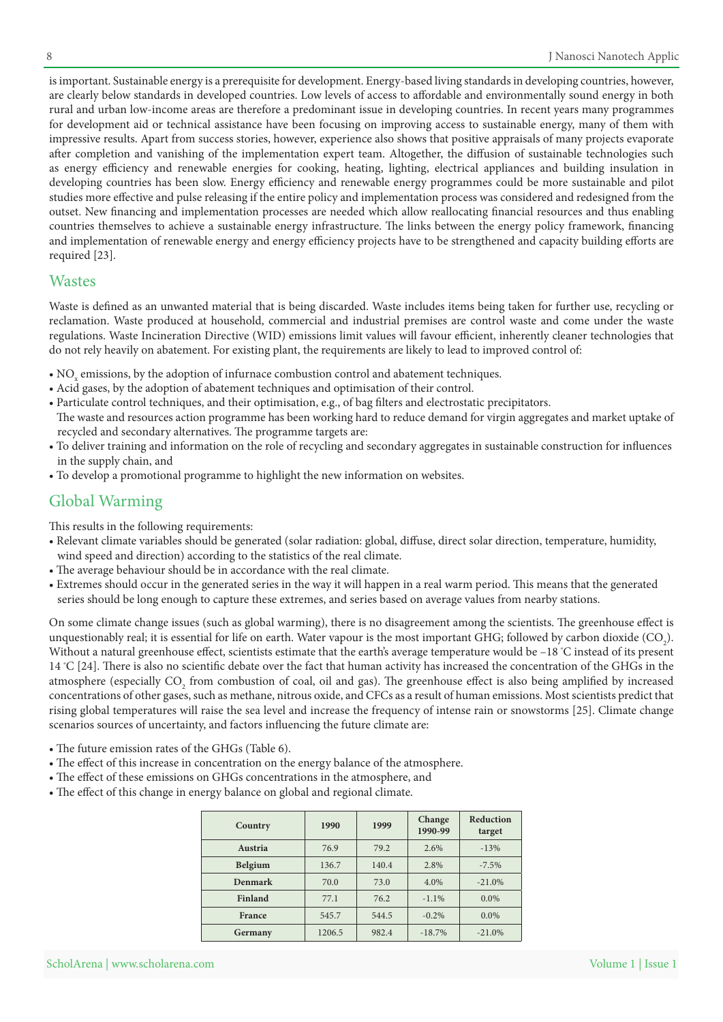is important. Sustainable energy is a prerequisite for development. Energy-based living standards in developing countries, however, are clearly below standards in developed countries. Low levels of access to affordable and environmentally sound energy in both rural and urban low-income areas are therefore a predominant issue in developing countries. In recent years many programmes for development aid or technical assistance have been focusing on improving access to sustainable energy, many of them with impressive results. Apart from success stories, however, experience also shows that positive appraisals of many projects evaporate after completion and vanishing of the implementation expert team. Altogether, the diffusion of sustainable technologies such as energy efficiency and renewable energies for cooking, heating, lighting, electrical appliances and building insulation in developing countries has been slow. Energy efficiency and renewable energy programmes could be more sustainable and pilot studies more effective and pulse releasing if the entire policy and implementation process was considered and redesigned from the outset. New financing and implementation processes are needed which allow reallocating financial resources and thus enabling countries themselves to achieve a sustainable energy infrastructure. The links between the energy policy framework, financing and implementation of renewable energy and energy efficiency projects have to be strengthened and capacity building efforts are required [23].

#### **Wastes**

Waste is defined as an unwanted material that is being discarded. Waste includes items being taken for further use, recycling or reclamation. Waste produced at household, commercial and industrial premises are control waste and come under the waste regulations. Waste Incineration Directive (WID) emissions limit values will favour efficient, inherently cleaner technologies that do not rely heavily on abatement. For existing plant, the requirements are likely to lead to improved control of:

- $NO<sub>x</sub>$  emissions, by the adoption of infurnace combustion control and abatement techniques.
- Acid gases, by the adoption of abatement techniques and optimisation of their control.
- . Particulate control techniques, and their optimisation, e.g., of bag filters and electrostatic precipitators. The waste and resources action programme has been working hard to reduce demand for virgin aggregates and market uptake of recycled and secondary alternatives. The programme targets are:
- To deliver training and information on the role of recycling and secondary aggregates in sustainable construction for influences in the supply chain, and
- To develop a promotional programme to highlight the new information on websites.

# Global Warming

This results in the following requirements:

- Relevant climate variables should be generated (solar radiation: global, diffuse, direct solar direction, temperature, humidity, wind speed and direction) according to the statistics of the real climate.
- The average behaviour should be in accordance with the real climate.
- Extremes should occur in the generated series in the way it will happen in a real warm period. This means that the generated series should be long enough to capture these extremes, and series based on average values from nearby stations.

On some climate change issues (such as global warming), there is no disagreement among the scientists. The greenhouse effect is unquestionably real; it is essential for life on earth. Water vapour is the most important GHG; followed by carbon dioxide (CO<sub>2</sub>). Without a natural greenhouse effect, scientists estimate that the earth's average temperature would be  $-18$  °C instead of its present 14 °C [24]. There is also no scientific debate over the fact that human activity has increased the concentration of the GHGs in the atmosphere (especially  $\mathrm{CO}_2$  from combustion of coal, oil and gas). The greenhouse effect is also being amplified by increased concentrations of other gases, such as methane, nitrous oxide, and CFCs as a result of human emissions. Most scientists predict that rising global temperatures will raise the sea level and increase the frequency of intense rain or snowstorms [25]. Climate change scenarios sources of uncertainty, and factors influencing the future climate are:

- The future emission rates of the GHGs (Table 6).
- The effect of this increase in concentration on the energy balance of the atmosphere.
- The effect of these emissions on GHGs concentrations in the atmosphere, and
- The effect of this change in energy balance on global and regional climate.

| Country        | 1990   | 1999  | Change<br>1990-99 | Reduction<br>target |
|----------------|--------|-------|-------------------|---------------------|
| Austria        | 76.9   | 79.2  | 2.6%              | $-13%$              |
| <b>Belgium</b> | 136.7  | 140.4 | 2.8%              | $-7.5%$             |
| <b>Denmark</b> | 70.0   | 73.0  | 4.0%              | $-21.0\%$           |
| Finland        | 77.1   | 76.2  | $-1.1%$           | $0.0\%$             |
| France         | 545.7  | 544.5 | $-0.2\%$          | $0.0\%$             |
| Germany        | 1206.5 | 982.4 | $-18.7%$          | $-21.0%$            |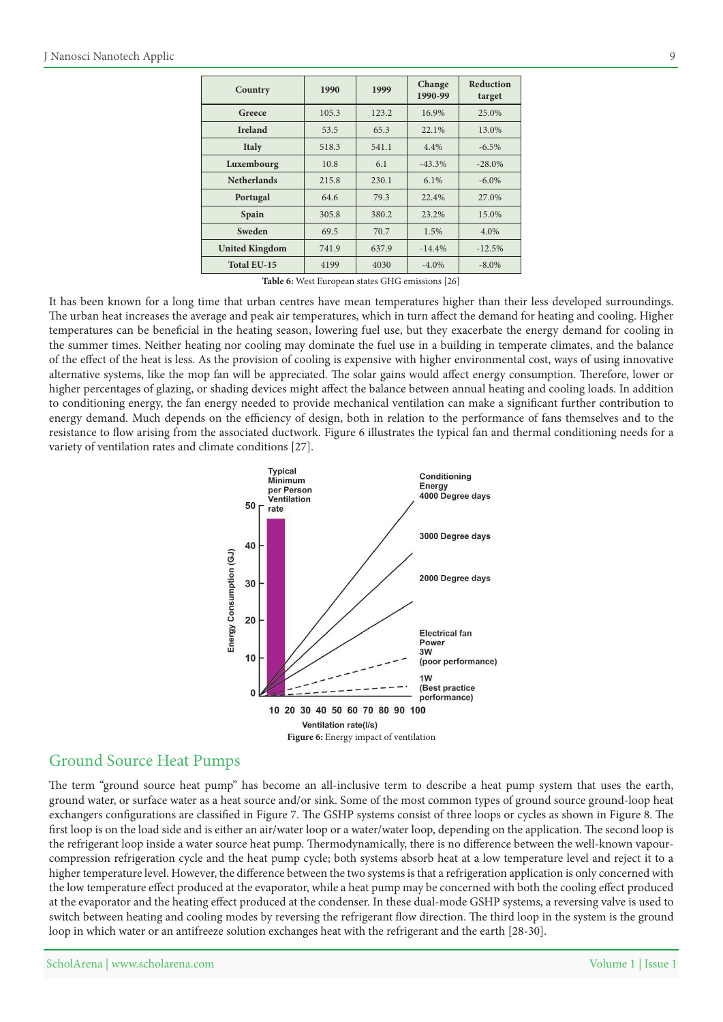| Country               | 1990  | 1999  | Change<br>1990-99 | Reduction<br>target |
|-----------------------|-------|-------|-------------------|---------------------|
| Greece                | 105.3 | 123.2 | 16.9%             | 25.0%               |
| <b>Ireland</b>        | 53.5  | 65.3  | 22.1%             | 13.0%               |
| <b>Italy</b>          | 518.3 | 541.1 | 4.4%              | $-6.5%$             |
| Luxembourg            | 10.8  | 6.1   | $-43.3%$          | $-28.0\%$           |
| <b>Netherlands</b>    | 215.8 | 230.1 | $6.1\%$           | $-6.0\%$            |
| Portugal              | 64.6  | 79.3  | 22.4%             | 27.0%               |
| Spain                 | 305.8 | 380.2 | 23.2%             | 15.0%               |
| Sweden                | 69.5  | 70.7  | 1.5%              | 4.0%                |
| <b>United Kingdom</b> | 741.9 | 637.9 | $-14.4%$          | $-12.5%$            |
| Total EU-15           | 4199  | 4030  | $-4.0\%$          | $-8.0\%$            |

Table 6: West European states GHG emissions [26]

It has been known for a long time that urban centres have mean temperatures higher than their less developed surroundings. The urban heat increases the average and peak air temperatures, which in turn affect the demand for heating and cooling. Higher temperatures can be beneficial in the heating season, lowering fuel use, but they exacerbate the energy demand for cooling in the summer times. Neither heating nor cooling may dominate the fuel use in a building in temperate climates, and the balance of the effect of the heat is less. As the provision of cooling is expensive with higher environmental cost, ways of using innovative alternative systems, like the mop fan will be appreciated. The solar gains would affect energy consumption. Therefore, lower or higher percentages of glazing, or shading devices might affect the balance between annual heating and cooling loads. In addition to conditioning energy, the fan energy needed to provide mechanical ventilation can make a significant further contribution to energy demand. Much depends on the efficiency of design, both in relation to the performance of fans themselves and to the resistance to flow arising from the associated ductwork. Figure 6 illustrates the typical fan and thermal conditioning needs for a variety of ventilation rates and climate conditions [27].



#### **Ground Source Heat Pumps**

The term "ground source heat pump" has become an all-inclusive term to describe a heat pump system that uses the earth, ground water, or surface water as a heat source and/or sink. Some of the most common types of ground source ground-loop heat exchangers configurations are classified in Figure 7. The GSHP systems consist of three loops or cycles as shown in Figure 8. The first loop is on the load side and is either an air/water loop or a water/water loop, depending on the application. The second loop is compression refrigeration cycle and the heat pump cycle; both systems absorb heat at a low temperature level and reject it to a the refrigerant loop inside a water source heat pump. Thermodynamically, there is no difference between the well-known vapourhigher temperature level. However, the difference between the two systems is that a refrigeration application is only concerned with the low temperature effect produced at the evaporator, while a heat pump may be concerned with both the cooling effect produced at the evaporator and the heating effect produced at the condenser. In these dual-mode GSHP systems, a reversing valve is used to switch between heating and cooling modes by reversing the refrigerant flow direction. The third loop in the system is the ground loop in which water or an antifreeze solution exchanges heat with the refrigerant and the earth [28-30].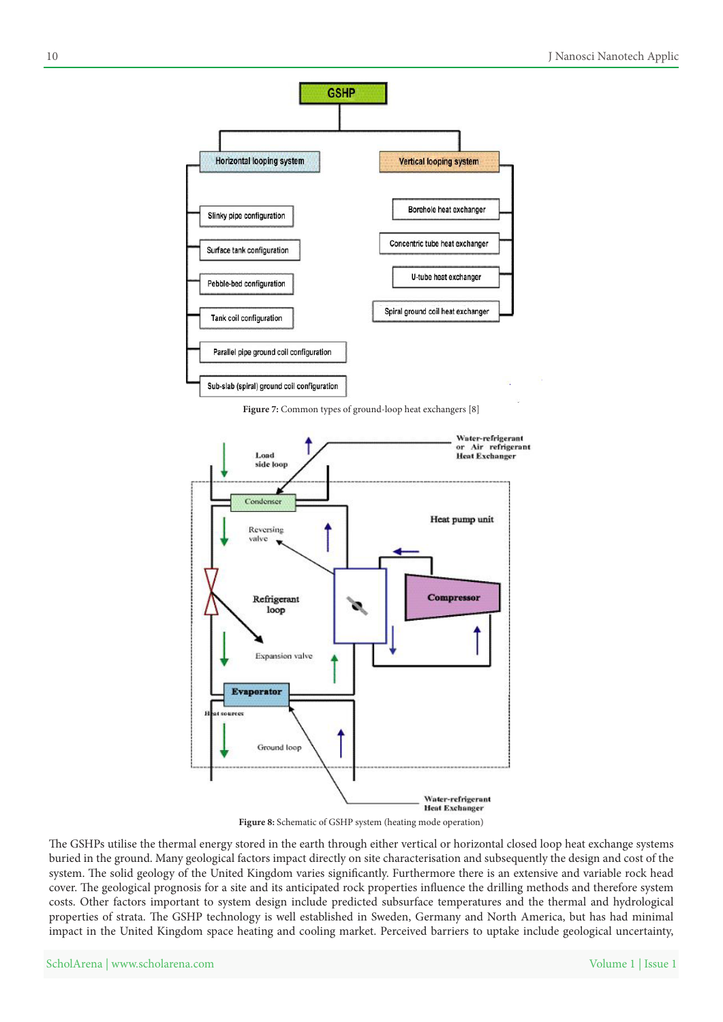

Figure 7: Common types of ground-loop heat exchangers [8]



Figure 8: Schematic of GSHP system (heating mode operation)

The GSHPs utilise the thermal energy stored in the earth through either vertical or horizontal closed loop heat exchange systems buried in the ground. Many geological factors impact directly on site characterisation and subsequently the design and cost of the system. The solid geology of the United Kingdom varies significantly. Furthermore there is an extensive and variable rock head cover. The geological prognosis for a site and its anticipated rock properties influence the drilling methods and therefore system costs. Other factors important to system design include predicted subsurface temperatures and the thermal and hydrological properties of strata. The GSHP technology is well established in Sweden, Germany and North America, but has had minimal impact in the United Kingdom space heating and cooling market. Perceived barriers to uptake include geological uncertainty,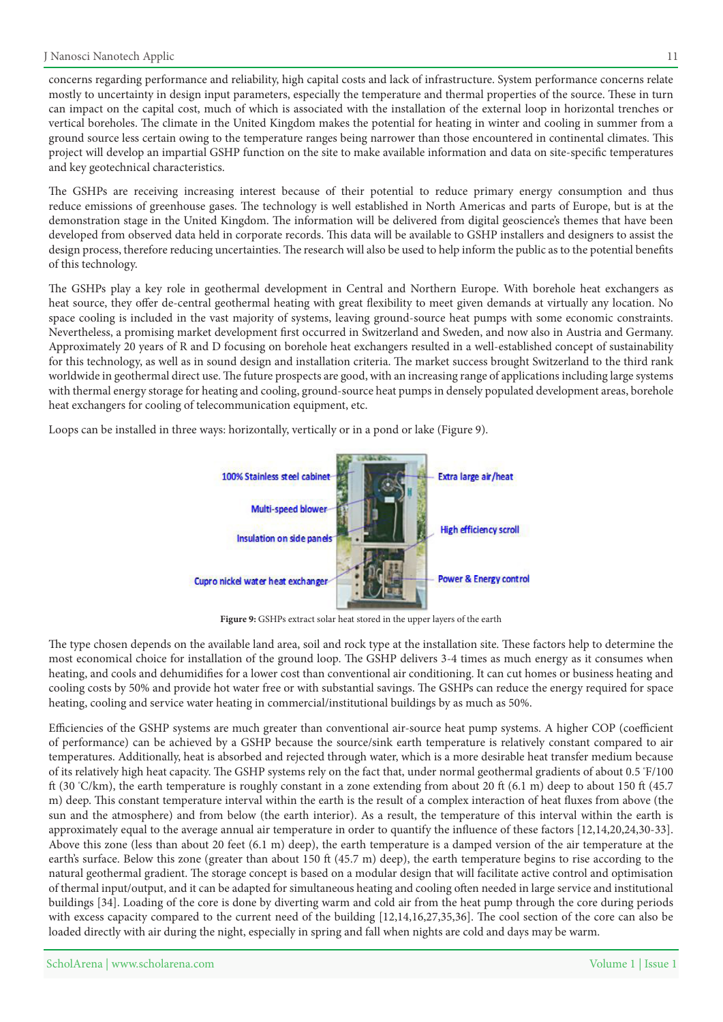#### I Nanosci Nanotech Applic 11

concerns regarding performance and reliability, high capital costs and lack of infrastructure. System performance concerns relate mostly to uncertainty in design input parameters, especially the temperature and thermal properties of the source. These in turn can impact on the capital cost, much of which is associated with the installation of the external loop in horizontal trenches or vertical boreholes. The climate in the United Kingdom makes the potential for heating in winter and cooling in summer from a ground source less certain owing to the temperature ranges being narrower than those encountered in continental climates. This project will develop an impartial GSHP function on the site to make available information and data on site-specific temperatures and key geotechnical characteristics.

The GSHPs are receiving increasing interest because of their potential to reduce primary energy consumption and thus reduce emissions of greenhouse gases. The technology is well established in North Americas and parts of Europe, but is at the demonstration stage in the United Kingdom. The information will be delivered from digital geoscience's themes that have been developed from observed data held in corporate records. This data will be available to GSHP installers and designers to assist the design process, therefore reducing uncertainties. The research will also be used to help inform the public as to the potential benefits of this technology.

The GSHPs play a key role in geothermal development in Central and Northern Europe. With borehole heat exchangers as heat source, they offer de-central geothermal heating with great flexibility to meet given demands at virtually any location. No space cooling is included in the vast majority of systems, leaving ground-source-heat pumps with some economic constraints. Nevertheless, a promising market development first occurred in Switzerland and Sweden, and now also in Austria and Germany. Approximately 20 years of R and D focusing on borehole heat exchangers resulted in a well-established concept of sustainability for this technology, as well as in sound design and installation criteria. The market success brought Switzerland to the third rank worldwide in geothermal direct use. The future prospects are good, with an increasing range of applications including large systems with thermal energy storage for heating and cooling, ground-source heat pumps in densely populated development areas, borehole heat exchangers for cooling of telecommunication equipment, etc.

Loops can be installed in three ways: horizontally, vertically or in a pond or lake (Figure 9).



Figure 9: GSHPs extract solar heat stored in the upper layers of the earth

The type chosen depends on the available land area, soil and rock type at the installation site. These factors help to determine the most economical choice for installation of the ground loop. The GSHP delivers 3-4 times as much energy as it consumes when heating, and cools and dehumidifies for a lower cost than conventional air conditioning. It can cut homes or business heating and cooling costs by 50% and provide hot water free or with substantial savings. The GSHPs can reduce the energy required for space heating, cooling and service water heating in commercial/institutional buildings by as much as 50%.

Efficiencies of the GSHP systems are much greater than conventional air-source-heat pump systems. A higher COP (coefficient of performance) can be achieved by a GSHP because the source/sink earth temperature is relatively constant compared to air temperatures. Additionally, heat is absorbed and rejected through water, which is a more desirable heat transfer medium because of its relatively high heat capacity. The GSHP systems rely on the fact that, under normal geothermal gradients of about 0.5 °F/100 ft (30 °C/km), the earth temperature is roughly constant in a zone extending from about 20 ft (6.1 m) deep to about 150 ft (45.7 m) deep. This constant temperature interval within the earth is the result of a complex interaction of heat fluxes from above (the sun and the atmosphere) and from below (the earth interior). As a result, the temperature of this interval within the earth is approximately equal to the average annual air temperature in order to quantify the influence of these factors  $[12,14,20,24,30-33]$ . Above this zone (less than about 20 feet  $(6.1 \text{ m})$  deep), the earth temperature is a damped version of the air temperature at the earth's surface. Below this zone (greater than about 150 ft  $(45.7 \text{ m})$  deep), the earth temperature begins to rise according to the natural geothermal gradient. The storage concept is based on a modular design that will facilitate active control and optimisation of thermal input/output, and it can be adapted for simultaneous heating and cooling often needed in large service and institutional buildings [34]. Loading of the core is done by diverting warm and cold air from the heat pump through the core during periods with excess capacity compared to the current need of the building [12,14,16,27,35,36]. The cool section of the core can also be loaded directly with air during the night, especially in spring and fall when nights are cold and days may be warm.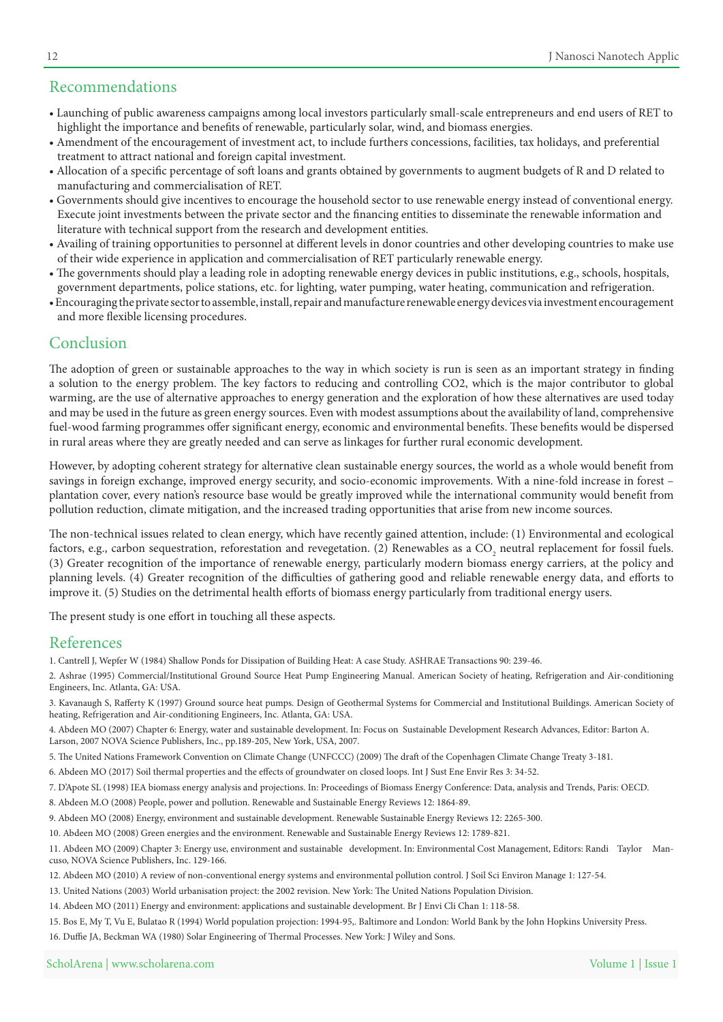## Recommendations

- Launching of public awareness campaigns among local investors particularly small-scale entrepreneurs and end users of RET to highlight the importance and benefits of renewable, particularly solar, wind, and biomass energies.
- Amendment of the encouragement of investment act, to include furthers concessions, facilities, tax holidays, and preferential treatment to attract national and foreign capital investment.
- Allocation of a specific percentage of soft loans and grants obtained by governments to augment budgets of R and D related to manufacturing and commercialisation of RET.
- Governments should give incentives to encourage the household sector to use renewable energy instead of conventional energy. Execute joint investments between the private sector and the financing entities to disseminate the renewable information and literature with technical support from the research and development entities.
- Availing of training opportunities to personnel at different levels in donor countries and other developing countries to make use of their wide experience in application and commercialisation of RET particularly renewable energy.
- The governments should play a leading role in adopting renewable energy devices in public institutions, e.g., schools, hospitals, government departments, police stations, etc. for lighting, water pumping, water heating, communication and refrigeration.
- Encouraging the private sector to assemble, install, repair and manufacture renewable energy devices via investment encouragement and more flexible licensing procedures.

#### Conclusion

The adoption of green or sustainable approaches to the way in which society is run is seen as an important strategy in finding a solution to the energy problem. The key factors to reducing and controlling CO2, which is the major contributor to global warming, are the use of alternative approaches to energy generation and the exploration of how these alternatives are used today and may be used in the future as green energy sources. Even with modest assumptions about the availability of land, comprehensive fuel-wood farming programmes offer significant energy, economic and environmental benefits. These benefits would be dispersed in rural areas where they are greatly needed and can serve as linkages for further rural economic development.

However, by adopting coherent strategy for alternative clean sustainable energy sources, the world as a whole would benefit from savings in foreign exchange, improved energy security, and socio-economic improvements. With a nine-fold increase in forest plantation cover, every nation's resource base would be greatly improved while the international community would benefit from pollution reduction, climate mitigation, and the increased trading opportunities that arise from new income sources.

The non-technical issues related to clean energy, which have recently gained attention, include: (1) Environmental and ecological factors, e.g., carbon sequestration, reforestation and revegetation. (2) Renewables as a CO<sub>2</sub> neutral replacement for fossil fuels. (3) Greater recognition of the importance of renewable energy, particularly modern biomass energy carriers, at the policy and planning levels. (4) Greater recognition of the difficulties of gathering good and reliable renewable energy data, and efforts to improve it. (5) Studies on the detrimental health efforts of biomass energy particularly from traditional energy users.

The present study is one effort in touching all these aspects.

#### References

- 1. Cantrell J, Wepfer W (1984) Shallow Ponds for Dissipation of Building Heat: A case Study. ASHRAE Transactions 90: 239-46.
- 2. Ashrae (1995) Commercial/Institutional Ground Source Heat Pump Engineering Manual. American Society of heating, Refrigeration and Air-conditioning Engineers, Inc. Atlanta, GA: USA.
- 3. Kavanaugh S, Rafferty K (1997) Ground source heat pumps. Design of Geothermal Systems for Commercial and Institutional Buildings. American Society of heating, Refrigeration and Air-conditioning Engineers, Inc. Atlanta, GA: USA.
- 4. Abdeen MO (2007) Chapter 6: Energy, water and sustainable development. In: Focus on Sustainable Development Research Advances, Editor: Barton A. Larson, 2007 NOVA Science Publishers, Inc., pp.189-205, New York, USA, 2007.
- 5. The United Nations Framework Convention on Climate Change (UNFCCC) (2009) The draft of the Copenhagen Climate Change Treaty 3-181.
- 6. Abdeen MO (2017) Soil thermal properties and the effects of groundwater on closed loops. Int J Sust Ene Envir Res 3: 34-52.
- 7. D'Apote SL (1998) IEA biomass energy analysis and projections. In: Proceedings of Biomass Energy Conference: Data, analysis and Trends, Paris: OECD.
- 8. Abdeen M.O (2008) People, power and pollution. Renewable and Sustainable Energy Reviews 12: 1864-89.
- 9. Abdeen MO (2008) Energy, environment and sustainable development. Renewable Sustainable Energy Reviews 12: 2265-300.

10. Abdeen MO (2008) Green energies and the environment. Renewable and Sustainable Energy Reviews 12: 1789-821.

11. Abdeen MO (2009) Chapter 3: Energy use, environment and sustainable) development. In: Environmental Cost Management, Editors: Randi Taylor Man-cuso, NOVA Science Publishers, Inc. 129-166.

- 12. Abdeen MO (2010) A review of non-conventional energy systems and environmental pollution control. J Soil Sci Environ Manage 1: 127-54.
- 13. United Nations (2003) World urbanisation project: the 2002 revision. New York: The United Nations Population Division.
- 14. Abdeen MO (2011) Energy and environment: applications and sustainable development. Br J Envi Cli Chan 1: 118-58.
- 15. Bos E, My T, Vu E, Bulatao R (1994) World population projection: 1994-95,. Baltimore and London: World Bank by the John Hopkins University Press.
- 16. Duffie JA, Beckman WA (1980) Solar Engineering of Thermal Processes. New York: J Wiley and Sons.